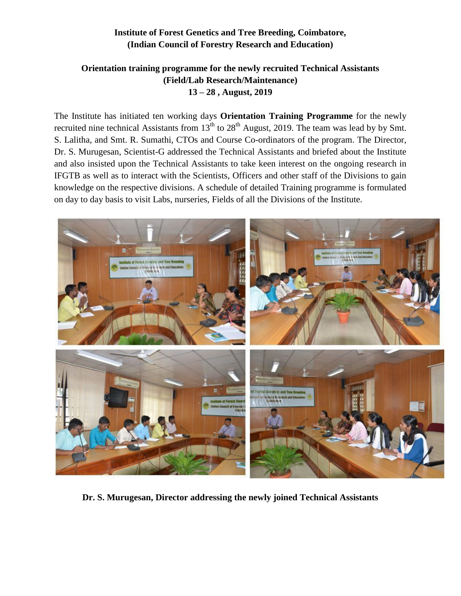## **Institute of Forest Genetics and Tree Breeding, Coimbatore, (Indian Council of Forestry Research and Education)**

## **Orientation training programme for the newly recruited Technical Assistants (Field/Lab Research/Maintenance) 13 – 28 , August, 2019**

The Institute has initiated ten working days **Orientation Training Programme** for the newly recruited nine technical Assistants from  $13<sup>th</sup>$  to  $28<sup>th</sup>$  August, 2019. The team was lead by by Smt. S. Lalitha, and Smt. R. Sumathi, CTOs and Course Co-ordinators of the program. The Director, Dr. S. Murugesan, Scientist-G addressed the Technical Assistants and briefed about the Institute and also insisted upon the Technical Assistants to take keen interest on the ongoing research in IFGTB as well as to interact with the Scientists, Officers and other staff of the Divisions to gain knowledge on the respective divisions. A schedule of detailed Training programme is formulated on day to day basis to visit Labs, nurseries, Fields of all the Divisions of the Institute.



**Dr. S. Murugesan, Director addressing the newly joined Technical Assistants**